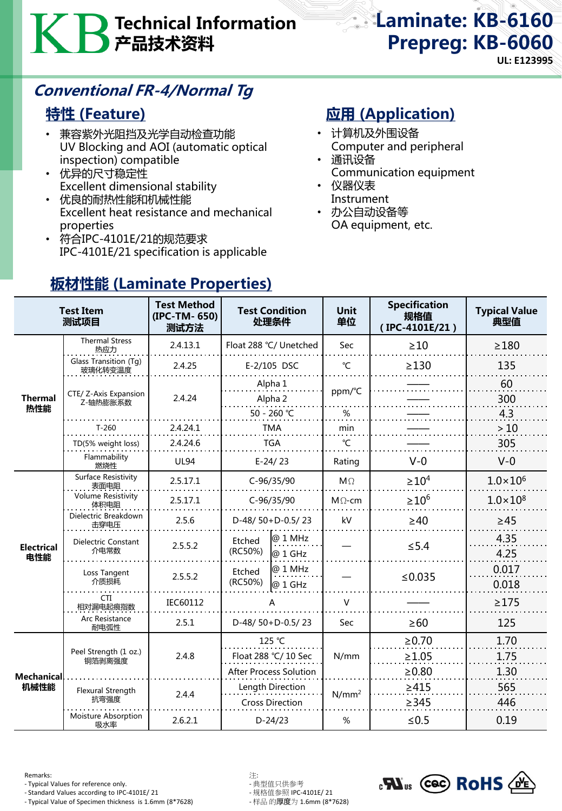# Technical Information 产品技术资料

Laminate: KB-6160 Prepreg: KB-6060

**UL: E123995**

# Conventional FR-4/Normal Tg

#### 特性 (Feature)

- 兼容紫外光阻挡及光学自动检查功能 UV Blocking and AOI (automatic optical inspection) compatible
- 优异的尺寸稳定性 Excellent dimensional stability
- 优良的耐热性能和机械性能 Excellent heat resistance and mechanical properties
- 符合IPC-4101E/21的规范要求 IPC-4101E/21 specification is applicable

# **应用 (Application)**

- 计算机及外围设备 Computer and peripheral
- 通讯设备 Communication equipment
- 仪器仪表 Instrument
- 办公自动设备等 OA equipment, etc.

| <b>Test Item</b><br>测试项目 |                                    | <b>Test Method</b><br>(IPC-TM-650)<br>测试方法 | <b>Test Condition</b><br>处理条件              |                    | <b>Unit</b><br>单位 | <b>Specification</b><br>规格值<br>(IPC-4101E/21) | <b>Typical Value</b><br>典型值 |
|--------------------------|------------------------------------|--------------------------------------------|--------------------------------------------|--------------------|-------------------|-----------------------------------------------|-----------------------------|
| <b>Thermal</b><br>热性能    | <b>Thermal Stress</b><br>热应力       | 2.4.13.1                                   | Float 288 °C/ Unetched                     |                    | <b>Sec</b>        | >10                                           | $\geq$ 180                  |
|                          | Glass Transition (Tg)<br>玻璃化转变温度   | 2.4.25                                     | E-2/105 DSC                                |                    | $\mathrm{C}$      | $\geq$ 130                                    | 135                         |
|                          | CTE/ Z-Axis Expansion<br>Z-轴热膨胀系数  | 2.4.24                                     | Alpha 1<br>Alpha 2                         |                    | ppm/°C            |                                               | 60<br>300                   |
|                          |                                    |                                            | 50 - 260 ℃                                 |                    | $\%$              |                                               | 4.3                         |
|                          | $T-260$                            | 2.4.24.1                                   | TMA                                        |                    | min               |                                               | >10                         |
|                          | TD(5% weight loss)                 | 2.4.24.6                                   | <b>TGA</b>                                 |                    | $\mathcal{C}$     |                                               | 305                         |
|                          | Flammability<br>燃烧性                | <b>UL94</b>                                | $E-24/23$                                  |                    | Rating            | $V - 0$                                       | $V-0$                       |
| <b>Electrical</b><br>电性能 | Surface Resistivity<br>表面电阻        | 2.5.17.1                                   | $C-96/35/90$                               |                    | $M\Omega$         | $\geq 10^4$                                   | $1.0 \times 10^{6}$         |
|                          | <b>Volume Resistivity</b><br>体积电阻  | 2.5.17.1                                   | $C-96/35/90$                               |                    | $M\Omega$ -cm     | $\geq 10^6$                                   | $1.0 \times 10^{8}$         |
|                          | Dielectric Breakdown<br>击穿电压       | 2.5.6                                      | D-48/50+D-0.5/23                           |                    | kV                | $\geq 40$                                     | $\geq 45$                   |
|                          | <b>Dielectric Constant</b><br>介电常数 | 2.5.5.2                                    | Etched<br>(RC50%)                          | @ 1 MHz<br>@ 1 GHz |                   | $\leq$ 5.4                                    | 4.35<br>4.25                |
|                          | Loss Tangent<br>介质损耗               | 2.5.5.2                                    | Etched<br>(RC50%)                          | @ 1 MHz<br>@ 1 GHz |                   | ≤0.035                                        | 0.017<br>0.018              |
|                          | CTI<br>相对漏电起痕指数                    | IEC60112                                   | A                                          |                    | $\vee$            |                                               | $\geq$ 175                  |
|                          | Arc Resistance<br>耐电弧性             | 2.5.1                                      | D-48/ $50+D-0.5/23$                        |                    | Sec               | $\geq 60$                                     | 125                         |
| Mechanical<br>机械性能       | Peel Strength (1 oz.)<br>铜箔剥离强度    | 2.4.8                                      | 125 °C                                     |                    | N/mm              | $\ge 0.70$                                    | 1.70                        |
|                          |                                    |                                            | Float 288 °C/ 10 Sec                       |                    |                   | $\geq 1.05$                                   | 1.75                        |
|                          |                                    |                                            | <b>After Process Solution</b>              |                    |                   | $\geq 0.80$                                   | 1.30                        |
|                          | Flexural Strength<br>抗弯强度          | 2.4.4                                      | Length Direction<br><b>Cross Direction</b> |                    | $N/mm^2$          | $\geq 415$<br>$\geq$ 345                      | 565<br>446                  |
|                          | Moisture Absorption<br>吸水率         | 2.6.2.1                                    | $D-24/23$                                  |                    | %                 | $\leq 0.5$                                    | 0.19                        |

# 板材性能 (Laminate Properties)

Remarks: 注:

- Typical Values for reference only. - 典型值只供参考

- Standard Values according to IPC-4101E/ 21 - 规格值参照 IPC-4101E/ 21 - Typical Value of Specimen thickness is 1.6mm (8\*7628)